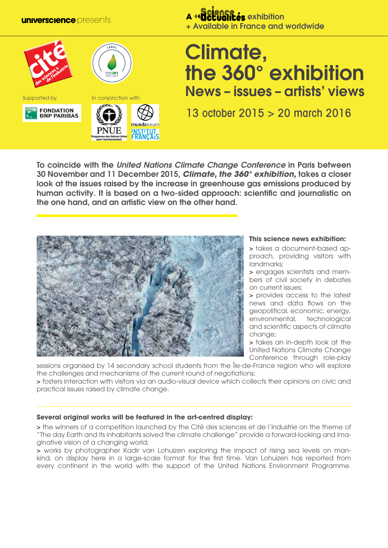**universcience** presents



## *<u>A</u>* Exhibition + Available in France and worldwide

# Climate, the 360° exhibition News – issues – artists' views

13 october 2015 > 20 march 2016

To coincide with the *United Nations Climate Change Conference* in Paris between 30 November and 11 December 2015, *Climate, the 360° exhibition,* takes a closer look at the issues raised by the increase in greenhouse gas emissions produced by human activity. It is based on a two-sided approach: scientific and journalistic on the one hand, and an artistic view on the other hand.



#### **This science news exhibition:**

> takes a document-based approach, providing visitors with landmarks;

> engages scientists and members of civil society in debates on current issues;

> provides access to the latest news and data flows on the geopolitical, economic, energy, environmental, technological and scientific aspects of climate change;

> takes an in-depth look at the United Nations Climate Change Conference through role-play

sessions organised by 14 secondary school students from the Île-de-France region who will explore the challenges and mechanisms of the current round of negotiations;

> fosters interaction with visitors via an audio-visual device which collects their opinions on civic and practical issues raised by climate change.

## **Several original works will be featured in the art-centred display:**

> the winners of a competition launched by the Cité des sciences et de l'industrie on the theme of "The day Earth and its inhabitants solved the climate challenge" provide a forward-looking and imaginative vision of a changing world;

> works by photographer Kadir van Lohuizen exploring the impact of rising sea levels on mankind, on display here in a large-scale format for the first time. Van Lohuizen has reported from every continent in the world with the support of the United Nations Environment Programme.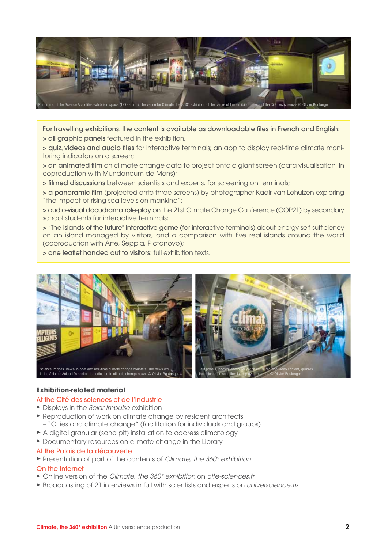

For travelling exhibitions, the content is available as downloadable files in French and English:

> all graphic panels featured in the exhibition;

> quiz, videos and audio files for interactive terminals; an app to display real-time climate monitoring indicators on a screen;

> an animated film on climate change data to project onto a giant screen (data visualisation, in coproduction with Mundaneum de Mons);

> filmed discussions between scientists and experts, for screening on terminals;

> a panoramic film (projected onto three screens) by photographer Kadir van Lohuizen exploring "the impact of rising sea levels on mankind";

> audio-visual docudrama role-play on the 21st Climate Change Conference (COP21) by secondary school students for interactive terminals;

> "The islands of the future" interactive game (for interactive terminals) about energy self-sufficiency on an island managed by visitors, and a comparison with five real islands around the world (coproduction with Arte, Seppia, Pictanovo);

> one leaflet handed out to visitors: full exhibition texts.



#### **Exhibition-related material**

#### At the Cité des sciences et de l'industrie

- ® Displays in the *Solar Impulse* exhibition
- ® Reproduction of work on climate change by resident architects – "Cities and climate change" (facilitation for individuals and groups)
- ► A digital granular (sand pit) installation to address climatology
- ® Documentary resources on climate change in the Library

#### At the Palais de la découverte

® Presentation of part of the contents of *Climate, the 360° exhibition*

#### On the Internet

- ® Online version of the *Climate, the 360° exhibition* on *cite-sciences.fr*
- ® Broadcasting of 21 interviews in full with scientists and experts on *universcience.tv*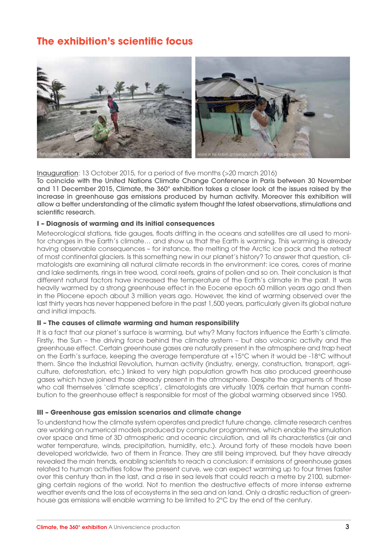# **The exhibition's scientific focus**



Inauguration: 13 October 2015, for a period of five months (>20 march 2016) To coincide with the United Nations Climate Change Conference in Paris between 30 November and 11 December 2015, Climate, the 360° exhibition takes a closer look at the issues raised by the increase in greenhouse gas emissions produced by human activity. Moreover this exhibition will allow a better understanding of the climatic system thought the latest observations, stimulations and scientific research.

#### **I – Diagnosis of warming and its initial consequences**

Meteorological stations, tide gauges, floats drifting in the oceans and satellites are all used to monitor changes in the Earth's climate… and show us that the Earth is warming. This warming is already having observable consequences – for instance, the melting of the Arctic ice pack and the retreat of most continental glaciers. Is this something new in our planet's history? To answer that question, climatologists are examining all natural climate records in the environment: ice cores, cores of marine and lake sediments, rings in tree wood, coral reefs, grains of pollen and so on. Their conclusion is that different natural factors have increased the temperature of the Earth's climate in the past. It was heavily warmed by a strong greenhouse effect in the Eocene epoch 60 million years ago and then in the Pliocene epoch about 3 million years ago. However, the kind of warming observed over the last thirty years has never happened before in the past 1,500 years, particularly given its global nature and initial impacts.

#### **II – The causes of climate warming and human responsibility**

It is a fact that our planet's surface is warming, but why? Many factors influence the Earth's climate. Firstly, the Sun – the driving force behind the climate system – but also volcanic activity and the greenhouse effect. Certain greenhouse gases are naturally present in the atmosphere and trap heat on the Earth's surface, keeping the average temperature at +15°C when it would be -18°C without them. Since the Industrial Revolution, human activity (industry, energy, construction, transport, agriculture, deforestation, etc.) linked to very high population growth has also produced greenhouse gases which have joined those already present in the atmosphere. Despite the arguments of those who call themselves 'climate sceptics', climatologists are virtually 100% certain that human contribution to the greenhouse effect is responsible for most of the global warming observed since 1950.

#### **III – Greenhouse gas emission scenarios and climate change**

To understand how the climate system operates and predict future change, climate research centres are working on numerical models produced by computer programmes, which enable the simulation over space and time of 3D atmospheric and oceanic circulation, and all its characteristics (air and water temperature, winds, precipitation, humidity, etc.). Around forty of these models have been developed worldwide, two of them in France. They are still being improved, but they have already revealed the main trends, enabling scientists to reach a conclusion: if emissions of greenhouse gases related to human activities follow the present curve, we can expect warming up to four times faster over this century than in the last, and a rise in sea levels that could reach a metre by 2100, submerging certain regions of the world. Not to mention the destructive effects of more intense extreme weather events and the loss of ecosystems in the sea and on land. Only a drastic reduction of greenhouse gas emissions will enable warming to be limited to 2°C by the end of the century.